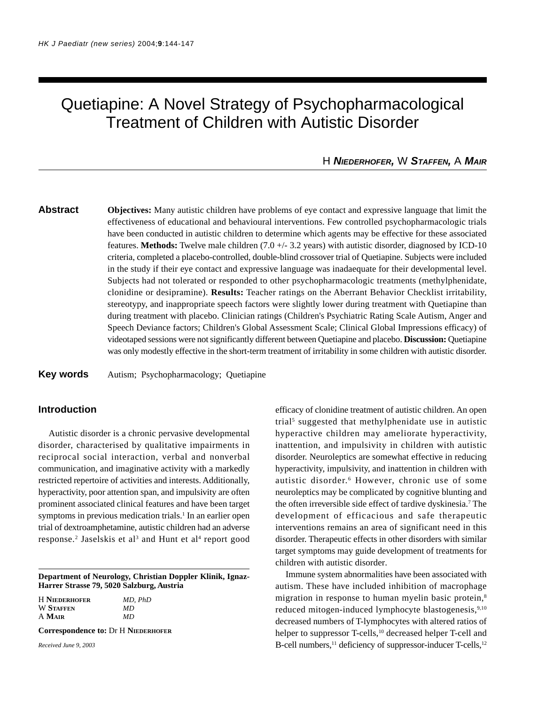# Quetiapine: A Novel Strategy of Psychopharmacological Treatment of Children with Autistic Disorder

H *NIEDERHOFER,* W *STAFFEN,* A *MAIR*

**Abstract Objectives:** Many autistic children have problems of eye contact and expressive language that limit the effectiveness of educational and behavioural interventions. Few controlled psychopharmacologic trials have been conducted in autistic children to determine which agents may be effective for these associated features. **Methods:** Twelve male children (7.0 +/- 3.2 years) with autistic disorder, diagnosed by ICD-10 criteria, completed a placebo-controlled, double-blind crossover trial of Quetiapine. Subjects were included in the study if their eye contact and expressive language was inadaequate for their developmental level. Subjects had not tolerated or responded to other psychopharmacologic treatments (methylphenidate, clonidine or desipramine). **Results:** Teacher ratings on the Aberrant Behavior Checklist irritability, stereotypy, and inappropriate speech factors were slightly lower during treatment with Quetiapine than during treatment with placebo. Clinician ratings (Children's Psychiatric Rating Scale Autism, Anger and Speech Deviance factors; Children's Global Assessment Scale; Clinical Global Impressions efficacy) of videotaped sessions were not significantly different between Quetiapine and placebo. **Discussion:** Quetiapine was only modestly effective in the short-term treatment of irritability in some children with autistic disorder.

## **Key words** Autism; Psychopharmacology; Quetiapine

## **Introduction**

Autistic disorder is a chronic pervasive developmental disorder, characterised by qualitative impairments in reciprocal social interaction, verbal and nonverbal communication, and imaginative activity with a markedly restricted repertoire of activities and interests. Additionally, hyperactivity, poor attention span, and impulsivity are often prominent associated clinical features and have been target symptoms in previous medication trials.<sup>1</sup> In an earlier open trial of dextroamphetamine, autistic children had an adverse response.<sup>2</sup> Jaselskis et al<sup>3</sup> and Hunt et al<sup>4</sup> report good

**Department of Neurology, Christian Doppler Klinik, Ignaz-Harrer Strasse 79, 5020 Salzburg, Austria**

| <b>H</b> NIEDERHOFER | MD, PhD |
|----------------------|---------|
| <b>W STAFFEN</b>     | MD      |
| A MAIR               | MD.     |

**Correspondence to:** Dr H **NIEDERHOFER**

*Received June 9, 2003*

efficacy of clonidine treatment of autistic children. An open trial<sup>5</sup> suggested that methylphenidate use in autistic hyperactive children may ameliorate hyperactivity, inattention, and impulsivity in children with autistic disorder. Neuroleptics are somewhat effective in reducing hyperactivity, impulsivity, and inattention in children with autistic disorder.<sup>6</sup> However, chronic use of some neuroleptics may be complicated by cognitive blunting and the often irreversible side effect of tardive dyskinesia.<sup>7</sup> The development of efficacious and safe therapeutic interventions remains an area of significant need in this disorder. Therapeutic effects in other disorders with similar target symptoms may guide development of treatments for children with autistic disorder.

Immune system abnormalities have been associated with autism. These have included inhibition of macrophage migration in response to human myelin basic protein,8 reduced mitogen-induced lymphocyte blastogenesis, 9,10 decreased numbers of T-lymphocytes with altered ratios of helper to suppressor T-cells,<sup>10</sup> decreased helper T-cell and B-cell numbers, $11$  deficiency of suppressor-inducer T-cells, $12$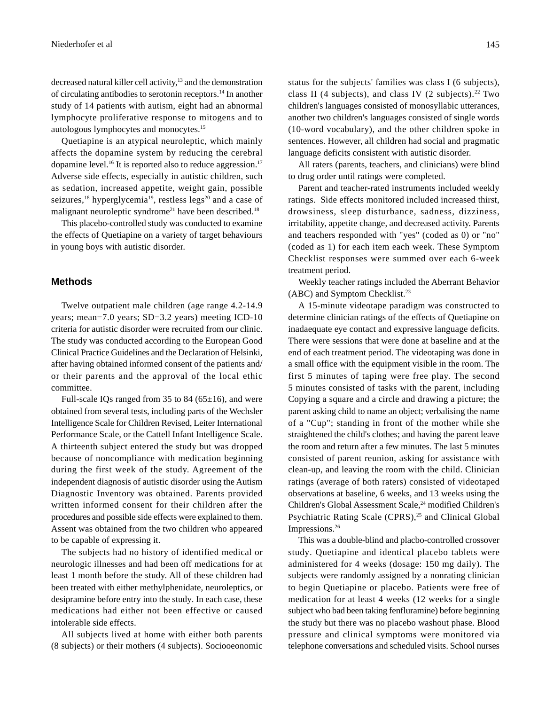decreased natural killer cell activity,<sup>13</sup> and the demonstration of circulating antibodies to serotonin receptors.14 In another study of 14 patients with autism, eight had an abnormal lymphocyte proliferative response to mitogens and to autologous lymphocytes and monocytes.15

Quetiapine is an atypical neuroleptic, which mainly affects the dopamine system by reducing the cerebral dopamine level.<sup>16</sup> It is reported also to reduce aggression.<sup>17</sup> Adverse side effects, especially in autistic children, such as sedation, increased appetite, weight gain, possible seizures,<sup>18</sup> hyperglycemia<sup>19</sup>, restless legs<sup>20</sup> and a case of malignant neuroleptic syndrome<sup>21</sup> have been described.<sup>18</sup>

This placebo-controlled study was conducted to examine the effects of Quetiapine on a variety of target behaviours in young boys with autistic disorder.

#### **Methods**

Twelve outpatient male children (age range 4.2-14.9 years; mean=7.0 years; SD=3.2 years) meeting ICD-10 criteria for autistic disorder were recruited from our clinic. The study was conducted according to the European Good Clinical Practice Guidelines and the Declaration of Helsinki, after having obtained informed consent of the patients and/ or their parents and the approval of the local ethic committee.

Full-scale IQs ranged from 35 to 84 ( $65\pm16$ ), and were obtained from several tests, including parts of the Wechsler Intelligence Scale for Children Revised, Leiter International Performance Scale, or the Cattell Infant Intelligence Scale. A thirteenth subject entered the study but was dropped because of noncompliance with medication beginning during the first week of the study. Agreement of the independent diagnosis of autistic disorder using the Autism Diagnostic Inventory was obtained. Parents provided written informed consent for their children after the procedures and possible side effects were explained to them. Assent was obtained from the two children who appeared to be capable of expressing it.

The subjects had no history of identified medical or neurologic illnesses and had been off medications for at least 1 month before the study. All of these children had been treated with either methylphenidate, neuroleptics, or desipramine before entry into the study. In each case, these medications had either not been effective or caused intolerable side effects.

All subjects lived at home with either both parents (8 subjects) or their mothers (4 subjects). Sociooeonomic status for the subjects' families was class I (6 subjects), class II (4 subjects), and class IV (2 subjects).<sup>22</sup> Two children's languages consisted of monosyllabic utterances, another two children's languages consisted of single words (10-word vocabulary), and the other children spoke in sentences. However, all children had social and pragmatic language deficits consistent with autistic disorder.

All raters (parents, teachers, and clinicians) were blind to drug order until ratings were completed.

Parent and teacher-rated instruments included weekly ratings. Side effects monitored included increased thirst, drowsiness, sleep disturbance, sadness, dizziness, irritability, appetite change, and decreased activity. Parents and teachers responded with "yes" (coded as 0) or "no" (coded as 1) for each item each week. These Symptom Checklist responses were summed over each 6-week treatment period.

Weekly teacher ratings included the Aberrant Behavior (ABC) and Symptom Checklist.<sup>23</sup>

A 15-minute videotape paradigm was constructed to determine clinician ratings of the effects of Quetiapine on inadaequate eye contact and expressive language deficits. There were sessions that were done at baseline and at the end of each treatment period. The videotaping was done in a small office with the equipment visible in the room. The first 5 minutes of taping were free play. The second 5 minutes consisted of tasks with the parent, including Copying a square and a circle and drawing a picture; the parent asking child to name an object; verbalising the name of a "Cup"; standing in front of the mother while she straightened the child's clothes; and having the parent leave the room and return after a few minutes. The last 5 minutes consisted of parent reunion, asking for assistance with clean-up, and leaving the room with the child. Clinician ratings (average of both raters) consisted of videotaped observations at baseline, 6 weeks, and 13 weeks using the Children's Global Assessment Scale,<sup>24</sup> modified Children's Psychiatric Rating Scale (CPRS),<sup>25</sup> and Clinical Global Impressions.26

This was a double-blind and placbo-controlled crossover study. Quetiapine and identical placebo tablets were administered for 4 weeks (dosage: 150 mg daily). The subjects were randomly assigned by a nonrating clinician to begin Quetiapine or placebo. Patients were free of medication for at least 4 weeks (12 weeks for a single subject who bad been taking fenfluramine) before beginning the study but there was no placebo washout phase. Blood pressure and clinical symptoms were monitored via telephone conversations and scheduled visits. School nurses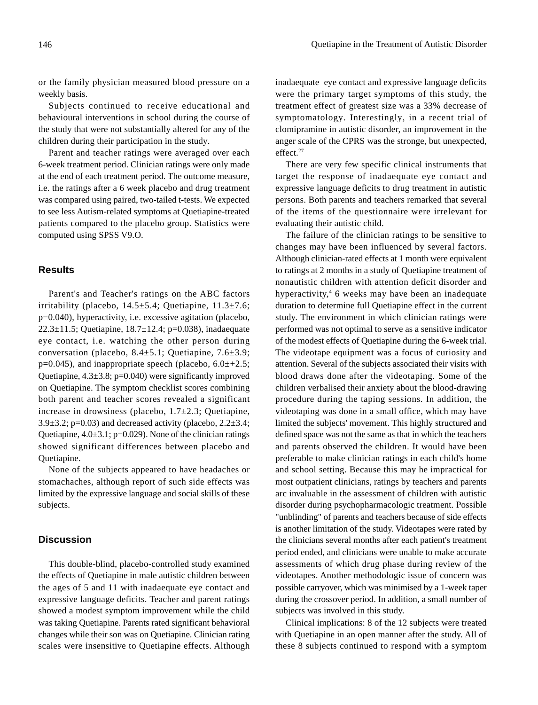or the family physician measured blood pressure on a weekly basis.

Subjects continued to receive educational and behavioural interventions in school during the course of the study that were not substantially altered for any of the children during their participation in the study.

Parent and teacher ratings were averaged over each 6-week treatment period. Clinician ratings were only made at the end of each treatment period. The outcome measure, i.e. the ratings after a 6 week placebo and drug treatment was compared using paired, two-tailed t-tests. We expected to see less Autism-related symptoms at Quetiapine-treated patients compared to the placebo group. Statistics were computed using SPSS V9.O.

# **Results**

Parent's and Teacher's ratings on the ABC factors irritability (placebo,  $14.5 \pm 5.4$ ; Quetiapine,  $11.3 \pm 7.6$ ; p=0.040), hyperactivity, i.e. excessive agitation (placebo, 22.3±11.5; Quetiapine, 18.7±12.4; p=0.038), inadaequate eye contact, i.e. watching the other person during conversation (placebo, 8.4±5.1; Quetiapine, 7.6±3.9;  $p=0.045$ ), and inappropriate speech (placebo,  $6.0\pm 2.5$ ; Quetiapine,  $4.3\pm3.8$ ; p=0.040) were significantly improved on Quetiapine. The symptom checklist scores combining both parent and teacher scores revealed a significant increase in drowsiness (placebo,  $1.7\pm2.3$ ; Quetiapine, 3.9 $\pm$ 3.2; p=0.03) and decreased activity (placebo, 2.2 $\pm$ 3.4; Quetiapine,  $4.0\pm3.1$ ; p=0.029). None of the clinician ratings showed significant differences between placebo and Quetiapine.

None of the subjects appeared to have headaches or stomachaches, although report of such side effects was limited by the expressive language and social skills of these subjects.

## **Discussion**

This double-blind, placebo-controlled study examined the effects of Quetiapine in male autistic children between the ages of 5 and 11 with inadaequate eye contact and expressive language deficits. Teacher and parent ratings showed a modest symptom improvement while the child was taking Quetiapine. Parents rated significant behavioral changes while their son was on Quetiapine. Clinician rating scales were insensitive to Quetiapine effects. Although

inadaequate eye contact and expressive language deficits were the primary target symptoms of this study, the treatment effect of greatest size was a 33% decrease of symptomatology. Interestingly, in a recent trial of clomipramine in autistic disorder, an improvement in the anger scale of the CPRS was the stronge, but unexpected, effect.<sup>27</sup>

There are very few specific clinical instruments that target the response of inadaequate eye contact and expressive language deficits to drug treatment in autistic persons. Both parents and teachers remarked that several of the items of the questionnaire were irrelevant for evaluating their autistic child.

The failure of the clinician ratings to be sensitive to changes may have been influenced by several factors. Although clinician-rated effects at 1 month were equivalent to ratings at 2 months in a study of Quetiapine treatment of nonautistic children with attention deficit disorder and hyperactivity,4 6 weeks may have been an inadequate duration to determine full Quetiapine effect in the current study. The environment in which clinician ratings were performed was not optimal to serve as a sensitive indicator of the modest effects of Quetiapine during the 6-week trial. The videotape equipment was a focus of curiosity and attention. Several of the subjects associated their visits with blood draws done after the videotaping. Some of the children verbalised their anxiety about the blood-drawing procedure during the taping sessions. In addition, the videotaping was done in a small office, which may have limited the subjects' movement. This highly structured and defined space was not the same as that in which the teachers and parents observed the children. It would have been preferable to make clinician ratings in each child's home and school setting. Because this may he impractical for most outpatient clinicians, ratings by teachers and parents arc invaluable in the assessment of children with autistic disorder during psychopharmacologic treatment. Possible "unblinding" of parents and teachers because of side effects is another limitation of the study. Videotapes were rated by the clinicians several months after each patient's treatment period ended, and clinicians were unable to make accurate assessments of which drug phase during review of the videotapes. Another methodologic issue of concern was possible carryover, which was minimised by a 1-week taper during the crossover period. In addition, a small number of subjects was involved in this study.

Clinical implications: 8 of the 12 subjects were treated with Quetiapine in an open manner after the study. All of these 8 subjects continued to respond with a symptom